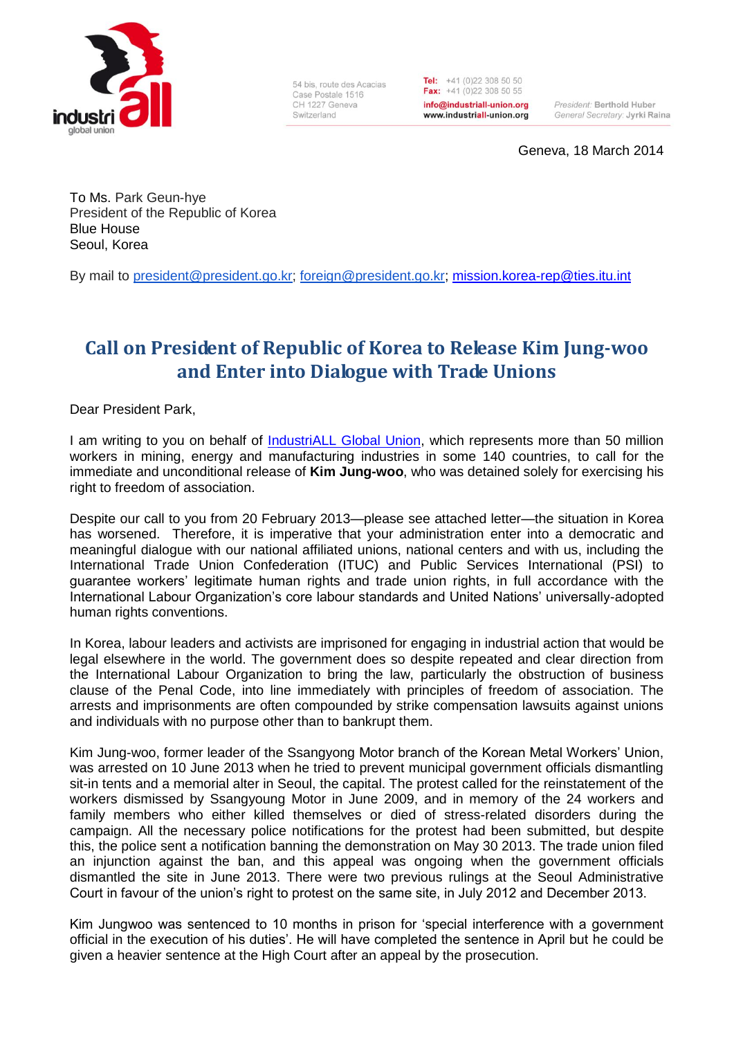

54 bis, route des Acacias Case Postale 1516 CH 1227 Geneva Switzerland

Tel: +41 (0)22 308 50 50 Fax:  $+41(0)223085055$ info@industriall-union.org www.industriall-union.org

President: Berthold Huber General Secretary: Jyrki Raina

Geneva, 18 March 2014

To Ms. Park Geun-hye President of the Republic of Korea Blue House Seoul, Korea

By mail to [president@president.go.kr;](mailto:president@president.go.kr) [foreign@president.go.kr;](mailto:foreign@president.go.kr) [mission.korea-rep@ties.itu.int](mailto:mission.korea-rep@ties.itu.int)

## **Call on President of Republic of Korea to Release Kim Jung-woo and Enter into Dialogue with Trade Unions**

Dear President Park,

I am writing to you on behalf of [IndustriALL Global Union,](http://www.industriall-union.org/) which represents more than 50 million workers in mining, energy and manufacturing industries in some 140 countries, to call for the immediate and unconditional release of **Kim Jung-woo**, who was detained solely for exercising his right to freedom of association.

Despite our call to you from 20 February 2013—please see attached letter—the situation in Korea has worsened. Therefore, it is imperative that your administration enter into a democratic and meaningful dialogue with our national affiliated unions, national centers and with us, including the International Trade Union Confederation (ITUC) and Public Services International (PSI) to guarantee workers' legitimate human rights and trade union rights, in full accordance with the International Labour Organization's core labour standards and United Nations' universally-adopted human rights conventions.

In Korea, labour leaders and activists are imprisoned for engaging in industrial action that would be legal elsewhere in the world. The government does so despite repeated and clear direction from the International Labour Organization to bring the law, particularly the obstruction of business clause of the Penal Code, into line immediately with principles of freedom of association. The arrests and imprisonments are often compounded by strike compensation lawsuits against unions and individuals with no purpose other than to bankrupt them.

Kim Jung-woo, former leader of the Ssangyong Motor branch of the Korean Metal Workers' Union, was arrested on 10 June 2013 when he tried to prevent municipal government officials dismantling sit-in tents and a memorial alter in Seoul, the capital. The protest called for the reinstatement of the workers dismissed by Ssangyoung Motor in June 2009, and in memory of the 24 workers and family members who either killed themselves or died of stress-related disorders during the campaign. All the necessary police notifications for the protest had been submitted, but despite this, the police sent a notification banning the demonstration on May 30 2013. The trade union filed an injunction against the ban, and this appeal was ongoing when the government officials dismantled the site in June 2013. There were two previous rulings at the Seoul Administrative Court in favour of the union's right to protest on the same site, in July 2012 and December 2013.

Kim Jungwoo was sentenced to 10 months in prison for 'special interference with a government official in the execution of his duties'. He will have completed the sentence in April but he could be given a heavier sentence at the High Court after an appeal by the prosecution.